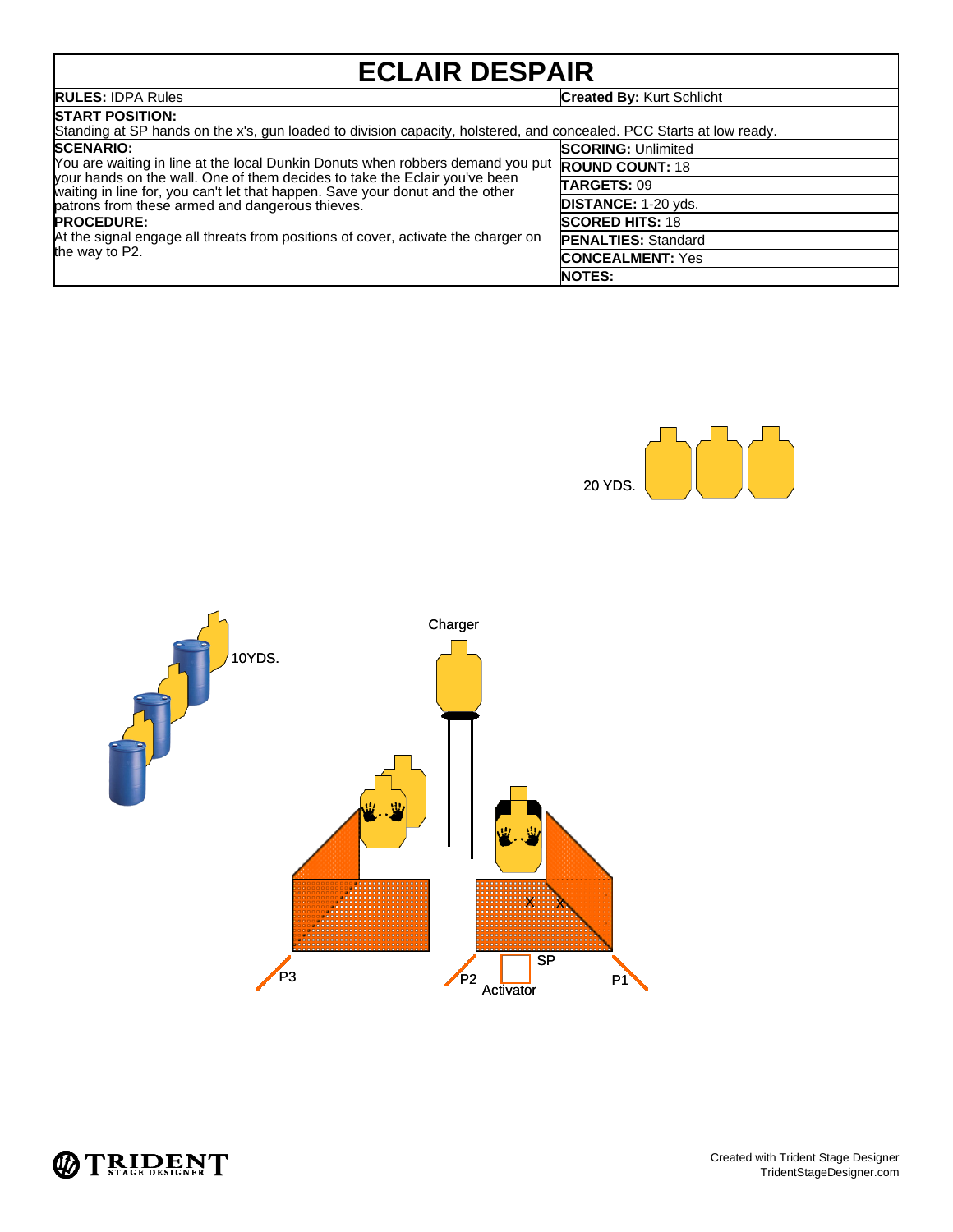# **ECLAIR DESPAIR**

| EULAIR DEJFAIR                                                                                                                                                                                                                                                                                                                                                                                                                                   |                                  |  |  |
|--------------------------------------------------------------------------------------------------------------------------------------------------------------------------------------------------------------------------------------------------------------------------------------------------------------------------------------------------------------------------------------------------------------------------------------------------|----------------------------------|--|--|
| <b>RULES: IDPA Rules</b>                                                                                                                                                                                                                                                                                                                                                                                                                         | <b>Created By: Kurt Schlicht</b> |  |  |
| <b>START POSITION:</b><br>Standing at SP hands on the x's, gun loaded to division capacity, holstered, and concealed. PCC Starts at low ready.                                                                                                                                                                                                                                                                                                   |                                  |  |  |
| <b>SCENARIO:</b><br>You are waiting in line at the local Dunkin Donuts when robbers demand you put<br>your hands on the wall. One of them decides to take the Eclair you've been<br>waiting in line for, you can't let that happen. Save your donut and the other<br>patrons from these armed and dangerous thieves.<br><b>PROCEDURE:</b><br>At the signal engage all threats from positions of cover, activate the charger on<br>the way to P2. | <b>SCORING: Unlimited</b>        |  |  |
|                                                                                                                                                                                                                                                                                                                                                                                                                                                  | <b>ROUND COUNT: 18</b>           |  |  |
|                                                                                                                                                                                                                                                                                                                                                                                                                                                  | TARGETS: 09                      |  |  |
|                                                                                                                                                                                                                                                                                                                                                                                                                                                  | <b>DISTANCE: 1-20 yds.</b>       |  |  |
|                                                                                                                                                                                                                                                                                                                                                                                                                                                  | <b>SCORED HITS: 18</b>           |  |  |
|                                                                                                                                                                                                                                                                                                                                                                                                                                                  | <b>PENALTIES: Standard</b>       |  |  |
|                                                                                                                                                                                                                                                                                                                                                                                                                                                  | <b>CONCEALMENT: Yes</b>          |  |  |
|                                                                                                                                                                                                                                                                                                                                                                                                                                                  | <b>NOTES:</b>                    |  |  |





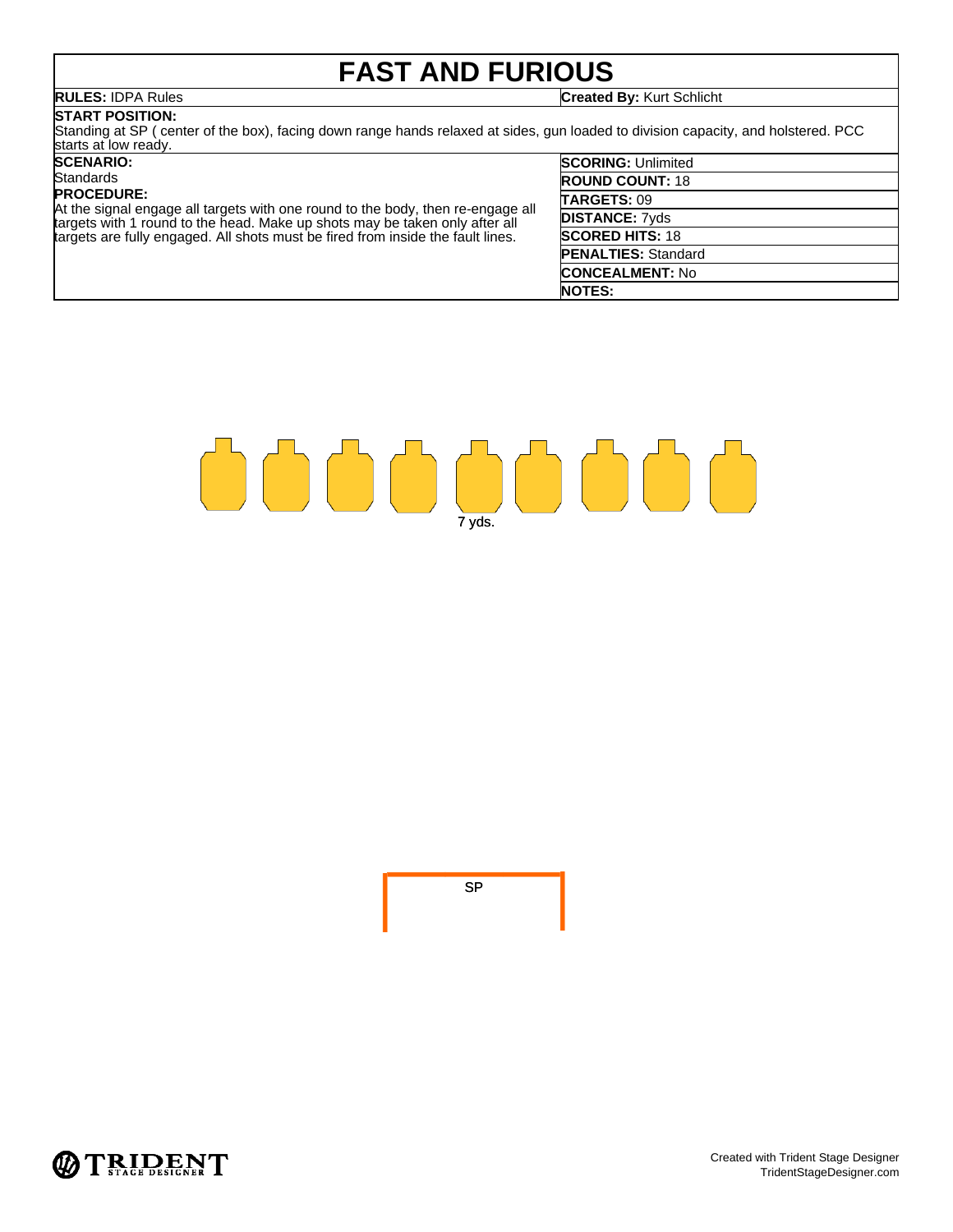# **FAST AND FURIOUS**

**RULES:** IDPA Rules **Created By:** Kurt Schlicht

## **START POSITION:**

Standing at SP ( center of the box), facing down range hands relaxed at sides, gun loaded to division capacity, and holstered. PCC starts at low ready.

### **SCENARIO:**

### **Standards**

### **PROCEDURE:**

At the signal engage all targets with one round to the body, then re-engage all targets with 1 round to the head. Make up shots may be taken only after all targets are fully engaged. All shots must be fired from inside the fault lines.

| <b>SCORING: Unlimited</b>  |
|----------------------------|
| <b>ROUND COUNT: 18</b>     |
| TARGETS: 09                |
| <b>DISTANCE: 7yds</b>      |
| <b>SCORED HITS: 18</b>     |
| <b>PENALTIES: Standard</b> |
| <b>CONCEALMENT: No</b>     |
| <b>NOTES:</b>              |
|                            |



SP

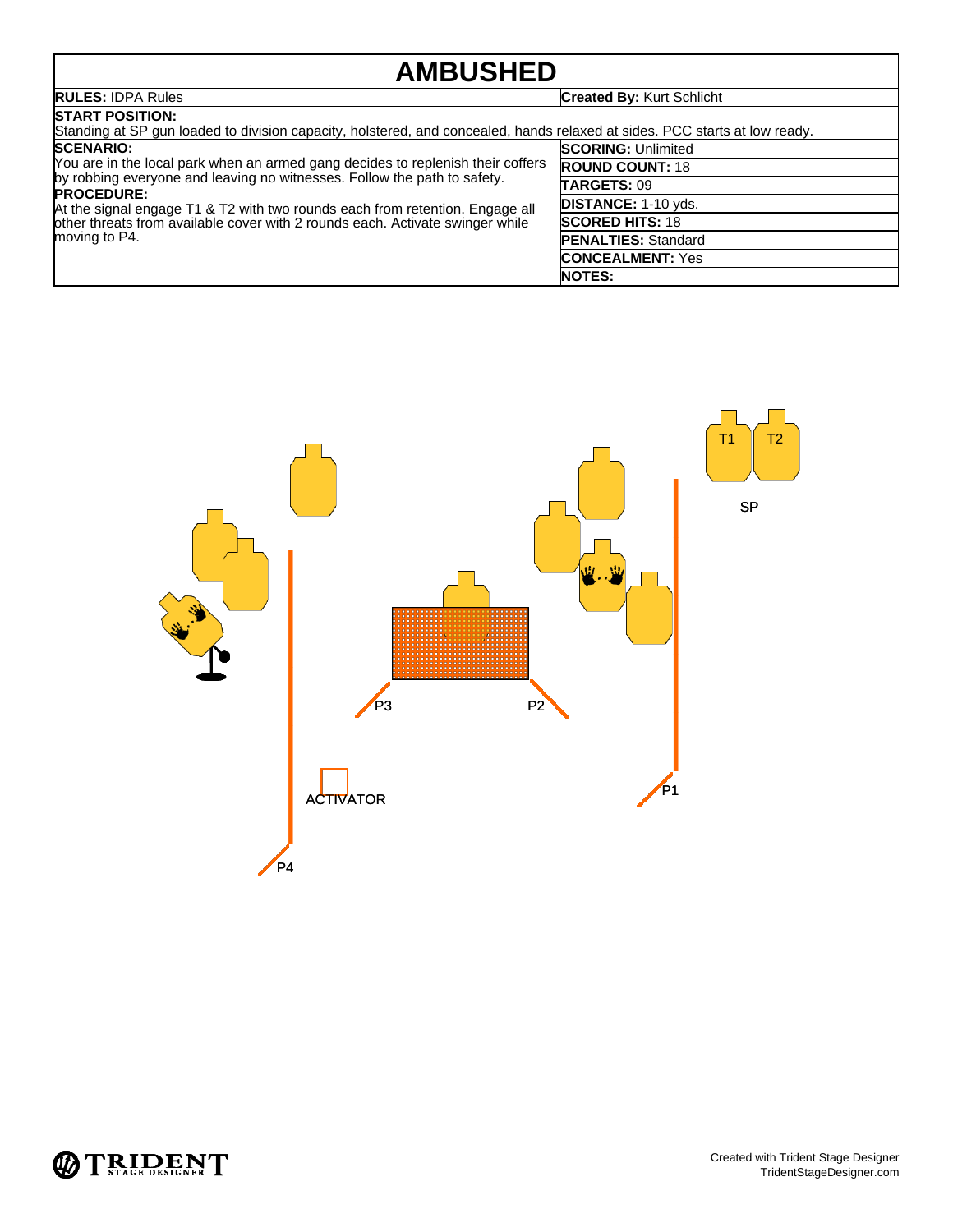## **AMBUSHED**

| <b>AMBUSHED</b>                                                                                                                                                                                                                                                                                                                                                                        |                                  |  |  |
|----------------------------------------------------------------------------------------------------------------------------------------------------------------------------------------------------------------------------------------------------------------------------------------------------------------------------------------------------------------------------------------|----------------------------------|--|--|
| <b>RULES: IDPA Rules</b>                                                                                                                                                                                                                                                                                                                                                               | <b>Created By: Kurt Schlicht</b> |  |  |
| <b>ISTART POSITION:</b><br>Standing at SP gun loaded to division capacity, holstered, and concealed, hands relaxed at sides. PCC starts at low ready.                                                                                                                                                                                                                                  |                                  |  |  |
| <b>SCENARIO:</b><br>You are in the local park when an armed gang decides to replenish their coffers<br>by robbing everyone and leaving no witnesses. Follow the path to safety.<br><b>PROCEDURE:</b><br>At the signal engage T1 & T2 with two rounds each from retention. Engage all<br>other threats from available cover with 2 rounds each. Activate swinger while<br>moving to P4. | <b>SCORING: Unlimited</b>        |  |  |
|                                                                                                                                                                                                                                                                                                                                                                                        | <b>ROUND COUNT: 18</b>           |  |  |
|                                                                                                                                                                                                                                                                                                                                                                                        | <b>TARGETS: 09</b>               |  |  |
|                                                                                                                                                                                                                                                                                                                                                                                        | <b>DISTANCE: 1-10 yds.</b>       |  |  |
|                                                                                                                                                                                                                                                                                                                                                                                        | <b>SCORED HITS: 18</b>           |  |  |
|                                                                                                                                                                                                                                                                                                                                                                                        | <b>PENALTIES: Standard</b>       |  |  |
|                                                                                                                                                                                                                                                                                                                                                                                        | <b>CONCEALMENT: Yes</b>          |  |  |
|                                                                                                                                                                                                                                                                                                                                                                                        | <b>NOTES:</b>                    |  |  |





 $\sqrt{ }$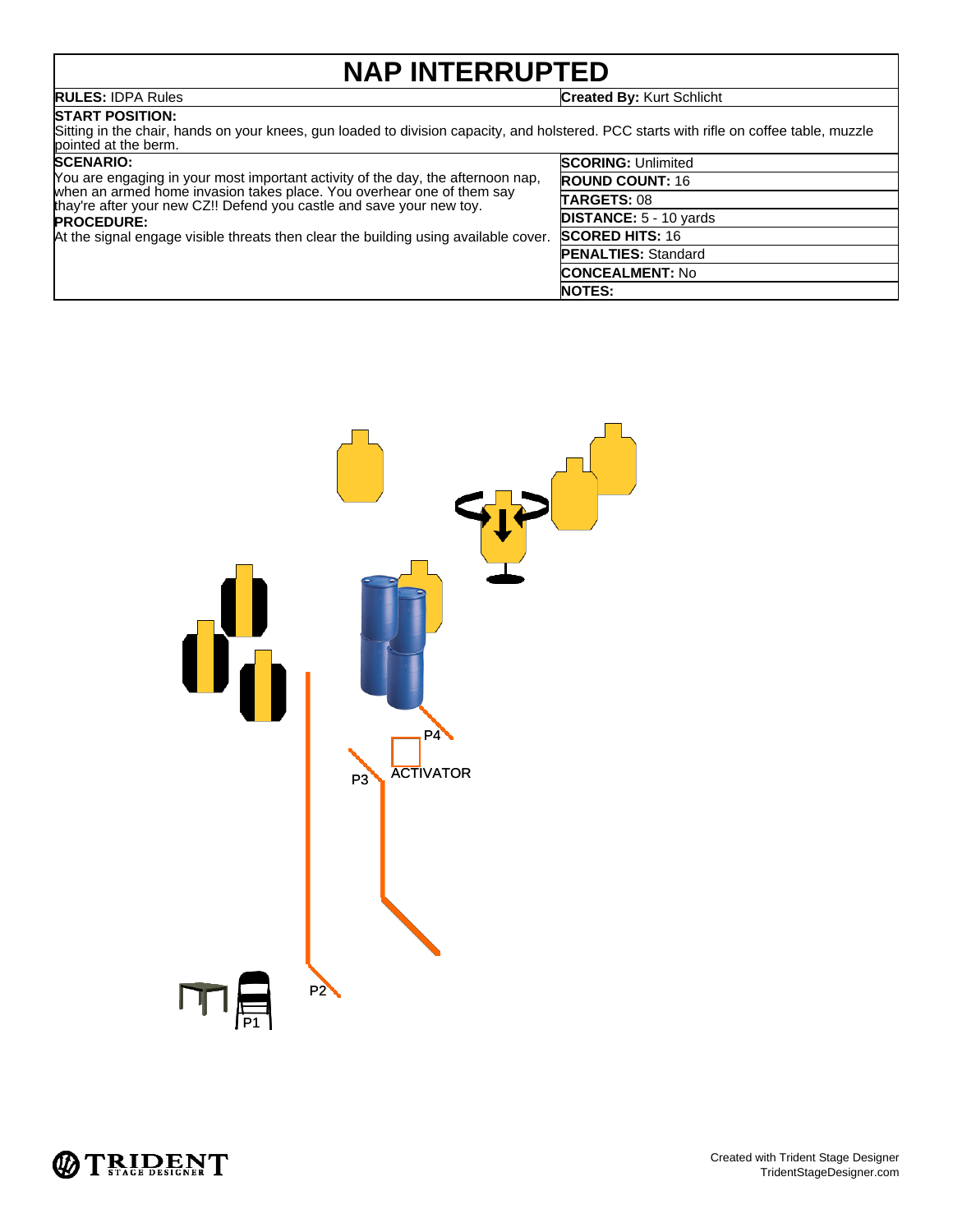## **NAP INTERRUPTED**

**RULES:** IDPA Rules **Created By:** Kurt Schlicht

## **START POSITION:**

Sitting in the chair, hands on your knees, gun loaded to division capacity, and holstered. PCC starts with rifle on coffee table, muzzle pointed at the berm.

### **SCENARIO:**

| <b>SCENARIO:</b>                                                                                                                              | <b>SCORING: Unlimited</b>     |
|-----------------------------------------------------------------------------------------------------------------------------------------------|-------------------------------|
| You are engaging in your most important activity of the day, the afternoon nap,                                                               | <b>ROUND COUNT: 16</b>        |
| when an armed home invasion takes place. You overhear one of them say<br>thay're after your new CZ!! Defend you castle and save your new toy. | TARGETS: 08                   |
| <b>PROCEDURE:</b>                                                                                                                             | <b>DISTANCE: 5 - 10 yards</b> |
| At the signal engage visible threats then clear the building using available cover.                                                           | <b>SCORED HITS: 16</b>        |
|                                                                                                                                               | <b>PENALTIES: Standard</b>    |
|                                                                                                                                               | <b>CONCEALMENT: No</b>        |
|                                                                                                                                               | <b>NOTES:</b>                 |



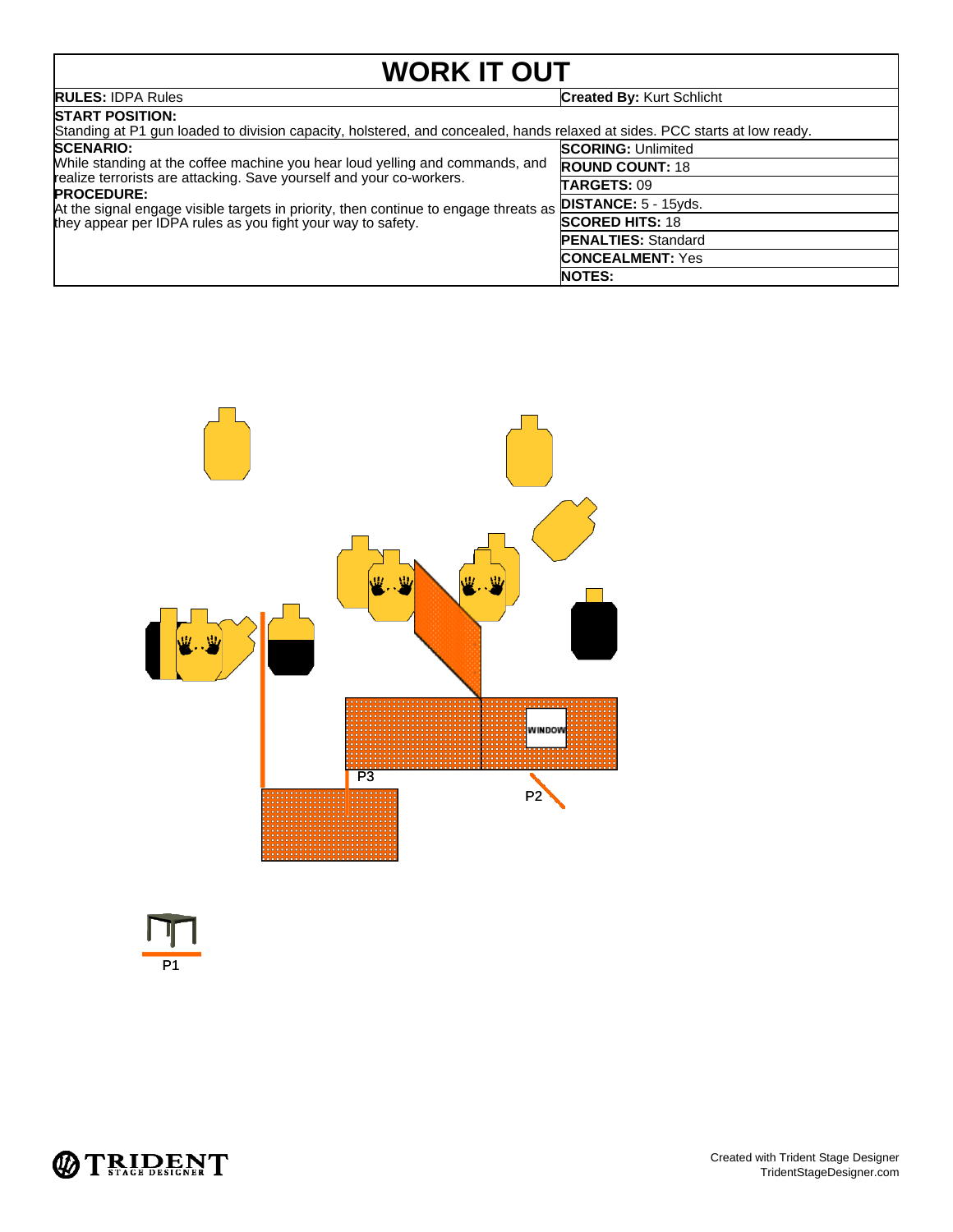# **WORK IT OUT**

| <b>WORK IT OUT</b>                                                                                                                                                                                                                                                                                                                                   |                                  |  |  |
|------------------------------------------------------------------------------------------------------------------------------------------------------------------------------------------------------------------------------------------------------------------------------------------------------------------------------------------------------|----------------------------------|--|--|
| <b>RULES: IDPA Rules</b>                                                                                                                                                                                                                                                                                                                             | <b>Created By: Kurt Schlicht</b> |  |  |
| <b>ISTART POSITION:</b><br>Standing at P1 gun loaded to division capacity, holstered, and concealed, hands relaxed at sides. PCC starts at low ready.                                                                                                                                                                                                |                                  |  |  |
| <b>SCENARIO:</b><br>While standing at the coffee machine you hear loud yelling and commands, and<br>realize terrorists are attacking. Save yourself and your co-workers.<br><b>PROCEDURE:</b><br>At the signal engage visible targets in priority, then continue to engage threats as<br>they appear per IDPA rules as you fight your way to safety. | <b>SCORING: Unlimited</b>        |  |  |
|                                                                                                                                                                                                                                                                                                                                                      | <b>ROUND COUNT: 18</b>           |  |  |
|                                                                                                                                                                                                                                                                                                                                                      | <b>TARGETS: 09</b>               |  |  |
|                                                                                                                                                                                                                                                                                                                                                      | <b>DISTANCE: 5 - 15yds.</b>      |  |  |
|                                                                                                                                                                                                                                                                                                                                                      | <b>SCORED HITS: 18</b>           |  |  |
|                                                                                                                                                                                                                                                                                                                                                      | <b>PENALTIES: Standard</b>       |  |  |
|                                                                                                                                                                                                                                                                                                                                                      | <b>CONCEALMENT: Yes</b>          |  |  |
|                                                                                                                                                                                                                                                                                                                                                      | <b>NOTES:</b>                    |  |  |





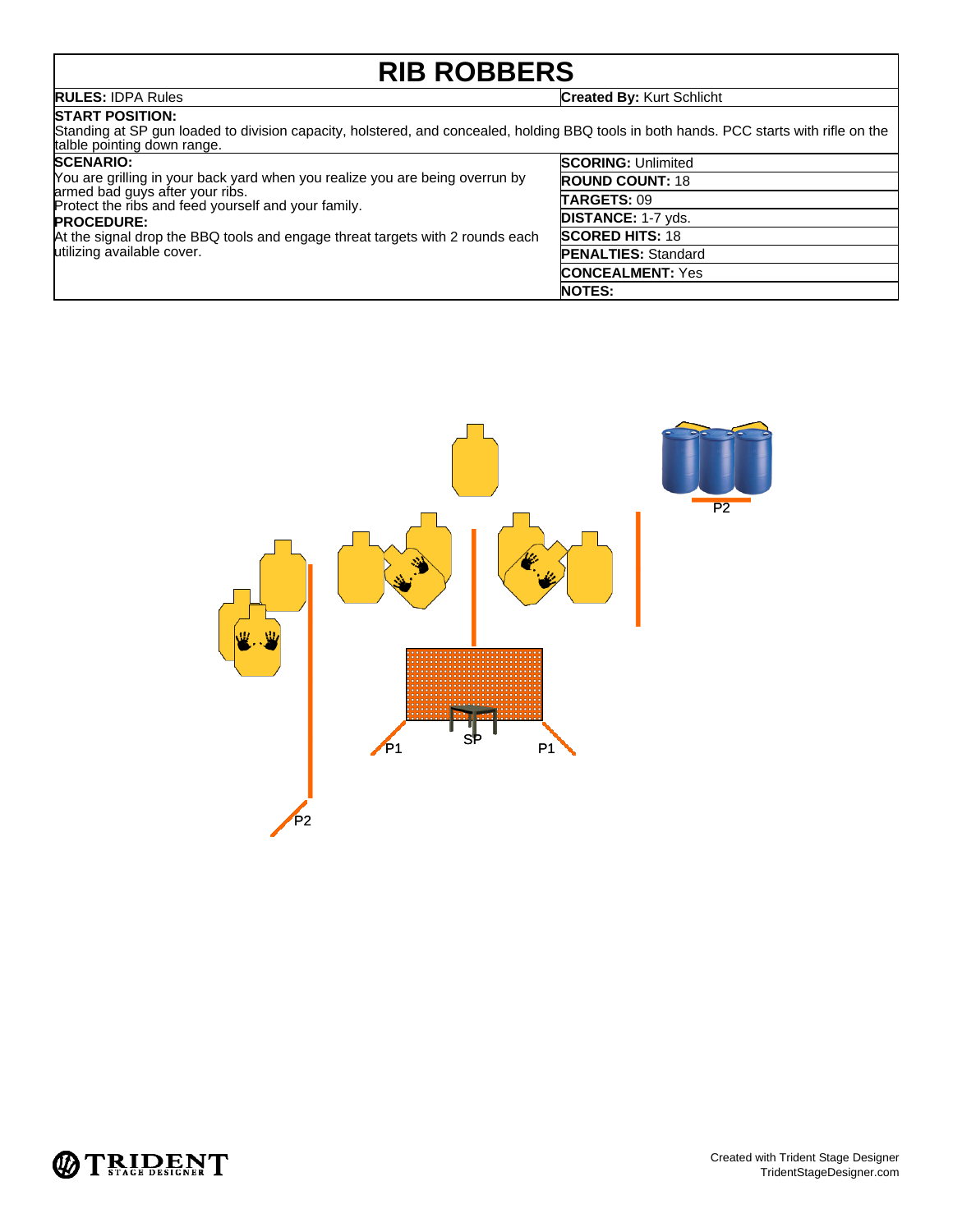# **RIB ROBBERS**

**RULES:** IDPA Rules **Created By:** Kurt Schlicht

## **START POSITION:**

Standing at SP gun loaded to division capacity, holstered, and concealed, holding BBQ tools in both hands. PCC starts with rifle on the talble pointing down range.

| <b>SCENARIO:</b>                                                                                                                                                                                                                                                                                           | <b>SCORING: Unlimited</b>  |
|------------------------------------------------------------------------------------------------------------------------------------------------------------------------------------------------------------------------------------------------------------------------------------------------------------|----------------------------|
| You are grilling in your back yard when you realize you are being overrun by<br>armed bad guys after your ribs.<br>Protect the ribs and feed yourself and your family.<br><b>PROCEDURE:</b><br>At the signal drop the BBQ tools and engage threat targets with 2 rounds each<br>utilizing available cover. | <b>ROUND COUNT: 18</b>     |
|                                                                                                                                                                                                                                                                                                            | <b>TARGETS: 09</b>         |
|                                                                                                                                                                                                                                                                                                            | <b>DISTANCE: 1-7 yds.</b>  |
|                                                                                                                                                                                                                                                                                                            | <b>SCORED HITS: 18</b>     |
|                                                                                                                                                                                                                                                                                                            | <b>PENALTIES: Standard</b> |
|                                                                                                                                                                                                                                                                                                            | <b>CONCEALMENT: Yes</b>    |
|                                                                                                                                                                                                                                                                                                            | <b>NOTES:</b>              |